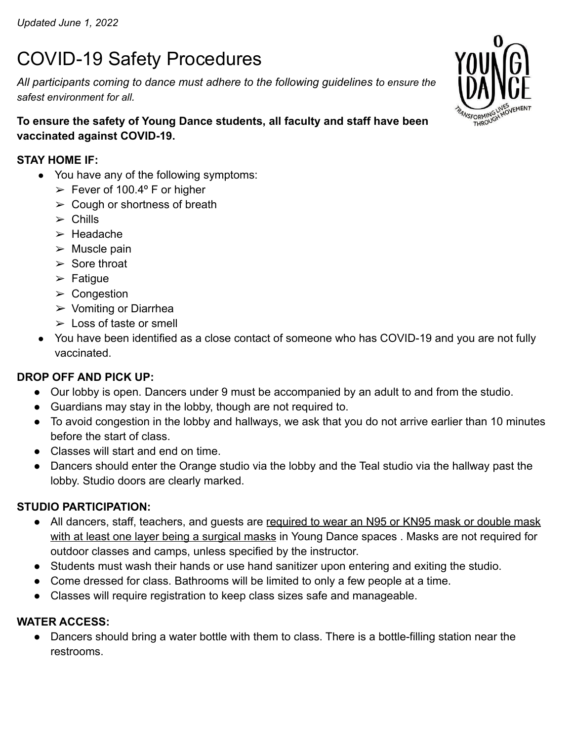# COVID-19 Safety Procedures

*All participants coming to dance must adhere to the following guidelines to ensure the safest environment for all.*



## **STAY HOME IF:**

- You have any of the following symptoms:
	- $\geq$  Fever of 100.4° F or higher
	- $\geq$  Cough or shortness of breath
	- $\ge$  Chills
	- $\blacktriangleright$  Headache
	- $>$  Muscle pain
	- $\triangleright$  Sore throat
	- $\triangleright$  Fatique
	- $\triangleright$  Congestion
	- ➢ Vomiting or Diarrhea
	- $\geq$  Loss of taste or smell
- You have been identified as a close contact of someone who has COVID-19 and you are not fully vaccinated.

## **DROP OFF AND PICK UP:**

- Our lobby is open. Dancers under 9 must be accompanied by an adult to and from the studio.
- Guardians may stay in the lobby, though are not required to.
- To avoid congestion in the lobby and hallways, we ask that you do not arrive earlier than 10 minutes before the start of class.
- Classes will start and end on time.
- Dancers should enter the Orange studio via the lobby and the Teal studio via the hallway past the lobby. Studio doors are clearly marked.

## **STUDIO PARTICIPATION:**

- All dancers, staff, teachers, and guests are required to wear an N95 or KN95 mask or double mask with at least one layer being a surgical masks in Young Dance spaces. Masks are not required for outdoor classes and camps, unless specified by the instructor.
- Students must wash their hands or use hand sanitizer upon entering and exiting the studio.
- Come dressed for class. Bathrooms will be limited to only a few people at a time.
- Classes will require registration to keep class sizes safe and manageable.

## **WATER ACCESS:**

● Dancers should bring a water bottle with them to class. There is a bottle-filling station near the restrooms.